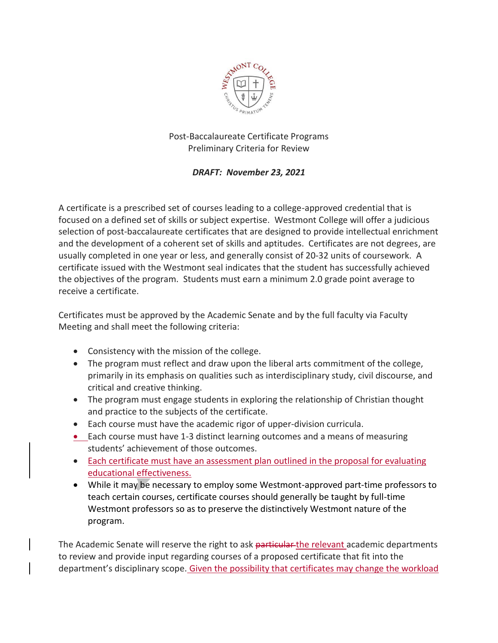

## Post-Baccalaureate Certificate Programs Preliminary Criteria for Review

## *DRAFT: November 23, 2021*

A certificate is a prescribed set of courses leading to a college-approved credential that is focused on a defined set of skills or subject expertise. Westmont College will offer a judicious selection of post-baccalaureate certificates that are designed to provide intellectual enrichment and the development of a coherent set of skills and aptitudes. Certificates are not degrees, are usually completed in one year or less, and generally consist of 20-32 units of coursework. A certificate issued with the Westmont seal indicates that the student has successfully achieved the objectives of the program. Students must earn a minimum 2.0 grade point average to receive a certificate.

Certificates must be approved by the Academic Senate and by the full faculty via Faculty Meeting and shall meet the following criteria:

- Consistency with the mission of the college.
- The program must reflect and draw upon the liberal arts commitment of the college, primarily in its emphasis on qualities such as interdisciplinary study, civil discourse, and critical and creative thinking.
- The program must engage students in exploring the relationship of Christian thought and practice to the subjects of the certificate.
- Each course must have the academic rigor of upper-division curricula.
- Each course must have 1-3 distinct learning outcomes and a means of measuring students' achievement of those outcomes.
- Each certificate must have an assessment plan outlined in the proposal for evaluating educational effectiveness.
- While it may be necessary to employ some Westmont-approved part-time professors to teach certain courses, certificate courses should generally be taught by full-time Westmont professors so as to preserve the distinctively Westmont nature of the program.

The Academic Senate will reserve the right to ask particular the relevant academic departments to review and provide input regarding courses of a proposed certificate that fit into the department's disciplinary scope. Given the possibility that certificates may change the workload